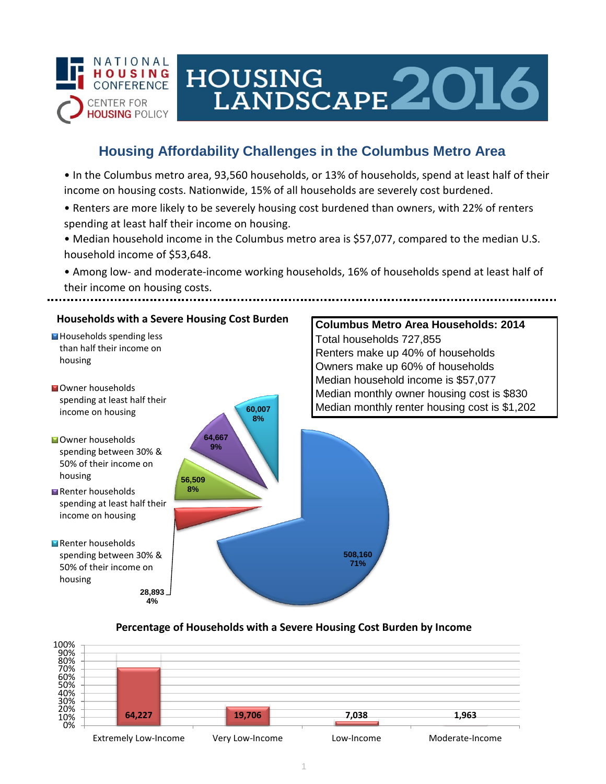

# HOUSING<br>LANDSCAPE 2016

## **Housing Affordability Challenges in the Columbus Metro Area**

• In the Columbus metro area, 93,560 households, or 13% of households, spend at least half of their income on housing costs. Nationwide, 15% of all households are severely cost burdened.

- Renters are more likely to be severely housing cost burdened than owners, with 22% of renters spending at least half their income on housing.
- Median household income in the Columbus metro area is \$57,077, compared to the median U.S. household income of \$53,648.
- Among low- and moderate-income working households, 16% of households spend at least half of their income on housing costs.